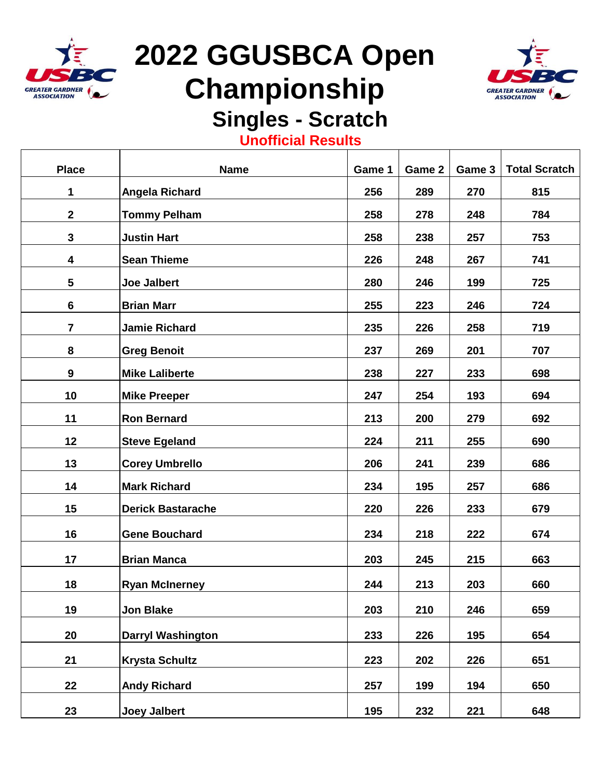

Τ

# **2022 GGUSBCA Open Championship**



 $\top$ 

### **Singles - Scratch**

#### **Unofficial Results**

| <b>Place</b>     | <b>Name</b>              | Game 1 | Game 2 | Game 3 | <b>Total Scratch</b> |
|------------------|--------------------------|--------|--------|--------|----------------------|
| 1                | Angela Richard           | 256    | 289    | 270    | 815                  |
| $\mathbf{2}$     | <b>Tommy Pelham</b>      | 258    | 278    | 248    | 784                  |
| $\mathbf{3}$     | <b>Justin Hart</b>       | 258    | 238    | 257    | 753                  |
| 4                | <b>Sean Thieme</b>       | 226    | 248    | 267    | 741                  |
| 5                | <b>Joe Jalbert</b>       | 280    | 246    | 199    | 725                  |
| 6                | <b>Brian Marr</b>        | 255    | 223    | 246    | 724                  |
| $\overline{7}$   | <b>Jamie Richard</b>     | 235    | 226    | 258    | 719                  |
| 8                | <b>Greg Benoit</b>       | 237    | 269    | 201    | 707                  |
| $\boldsymbol{9}$ | <b>Mike Laliberte</b>    | 238    | 227    | 233    | 698                  |
| 10               | <b>Mike Preeper</b>      | 247    | 254    | 193    | 694                  |
| 11               | <b>Ron Bernard</b>       | 213    | 200    | 279    | 692                  |
| 12               | <b>Steve Egeland</b>     | 224    | 211    | 255    | 690                  |
| 13               | <b>Corey Umbrello</b>    | 206    | 241    | 239    | 686                  |
| 14               | <b>Mark Richard</b>      | 234    | 195    | 257    | 686                  |
| 15               | <b>Derick Bastarache</b> | 220    | 226    | 233    | 679                  |
|                  |                          |        |        |        |                      |
| 16               | <b>Gene Bouchard</b>     | 234    | 218    | 222    | 674                  |
| 17               | <b>Brian Manca</b>       | 203    | 245    | 215    | 663                  |
| 18               | <b>Ryan McInerney</b>    | 244    | 213    | 203    | 660                  |
| 19               | Jon Blake                | 203    | 210    | 246    | 659                  |
| 20               | <b>Darryl Washington</b> | 233    | 226    | 195    | 654                  |
| 21               | <b>Krysta Schultz</b>    | 223    | 202    | 226    | 651                  |
|                  |                          |        |        |        |                      |
| 22               | <b>Andy Richard</b>      | 257    | 199    | 194    | 650                  |
| 23               | <b>Joey Jalbert</b>      | 195    | 232    | 221    | 648                  |